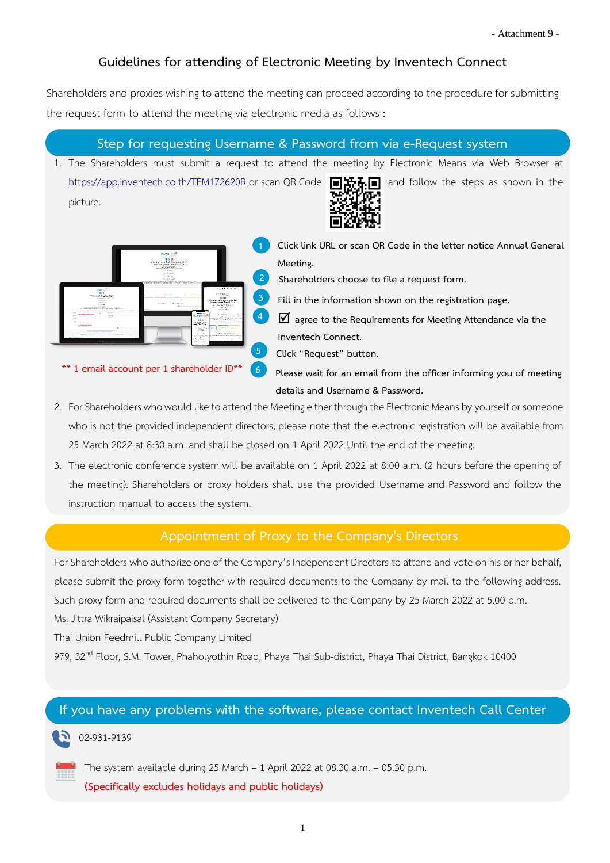# **Guidelines for attending of Electronic Meeting by Inventech Connect**

Shareholders and proxies wishing to attend the meeting can proceed according to the procedure for submitting the request form to attend the meeting via electronic media as follows :

## **Step for requesting Username & Password from via e-Request system**

1. The Shareholders must submit a request to attend the meeting by Electronic Means via Web Browser at <https://app.inventech.co.th/TFM172620R> or scan QR Code **and Fig. and follow** the steps as shown in the picture.



**1 Click link URL or scan QR Code in the letter notice Annual General Meeting.**

**2 Shareholders choose to file a request form.**

**3 Fill in the information shown on the registration page.**

**4 agree to the Requirements for Meeting Attendance via the Inventech Connect.**

**5 Click "Request" button.**

**\*\* 1 email account per 1 shareholder ID\*\***

**6 Please wait for an email from the officer informing you of meeting details and Username & Password.**

2. For Shareholders who would like to attend the Meeting either through the Electronic Means by yourself or someone who is not the provided independent directors, please note that the electronic registration will be available from 25 March 2022 at 8:30 a.m. and shall be closed on 1 April 2022 Until the end of the meeting.

.

3. The electronic conference system will be available on 1 April 2022 at 8:00 a.m. (2 hours before the opening of the meeting). Shareholders or proxy holders shall use the provided Username and Password and follow the instruction manual to access the system.

## **Appointment of Proxy to the Company's Directors**

For Shareholders who authorize one of the Company's Independent Directors to attend and vote on his or her behalf, please submit the proxy form together with required documents to the Company by mail to the following address. Such proxy form and required documents shall be delivered to the Company by 25 March 2022 at 5.00 p.m. Ms. Jittra Wikraipaisal (Assistant Company Secretary)

Thai Union Feedmill Public Company Limited

979, 32<sup>nd</sup> Floor, S.M. Tower, Phaholyothin Road, Phaya Thai Sub-district, Phaya Thai District, Bangkok 10400

### **If you have any problems with the software, please contact Inventech Call Center**

#### 02-931-9139

The system available during 25 March – 1 April 2022 at 08.30 a.m. – 05.30 p.m. **(Specifically excludes holidays and public holidays)**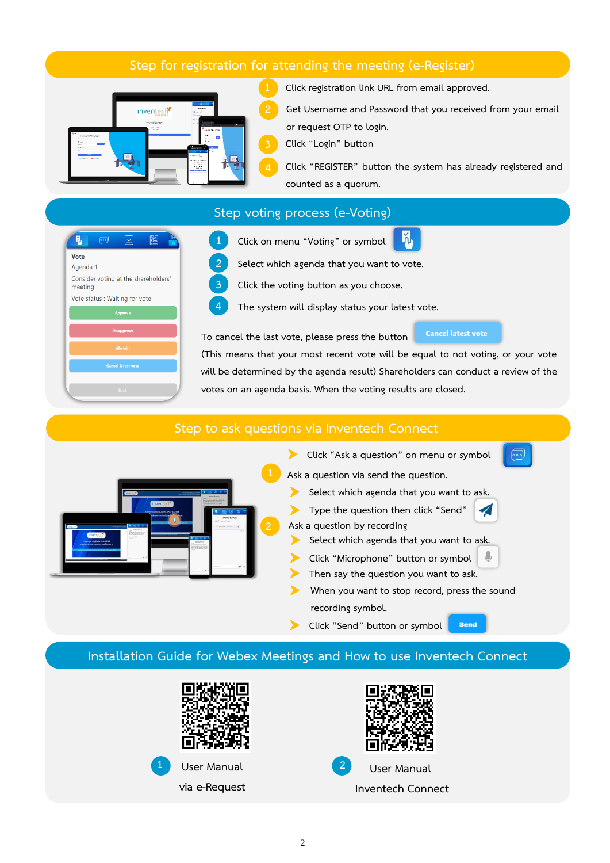## **Step for registration for attending the meeting (e-Register)**



**1 Click registration link URL from email approved.**

**2 Get Username and Password that you received from your email or request OTP to login.**

**3 Click "Login" button**

**4 Click "REGISTER" button the system has already registered and counted as a quorum.**



#### **Step voting process (e-Voting)**

**1 Click on menu "Voting" or symbol 2 Select which agenda that you want to vote.**

**3 Click the voting button as you choose.**

**4 The system will display status your latest vote.**

**To cancel the last vote, please press the button**

**Cancel latest vote** 

**(This means that your most recent vote will be equal to not voting, or your vote will be determined by the agenda result) Shareholders can conduct a review of the votes on an agenda basis. When the voting results are closed.**

#### **Step to ask questions via Inventech Connect**



**Click "Ask a question" on menu or symbol 1 Ask a question via send the question.**

- **Select which agenda that you want to ask.**
- **Type the question then click "Send" Ask a question by recording**
- **Select which agenda that you want to ask.**
- **Click "Microphone" button or symbol**
- **Then say the question you want to ask.**
- **When you want to stop record, press the sound recording symbol.**

**Send** 

**Click "Send" button or symbol**

### **Installation Guide for Webex Meetings and How to use Inventech Connect**





**via e-Request**



**User Manual 1 2 User Manual Inventech Connect**